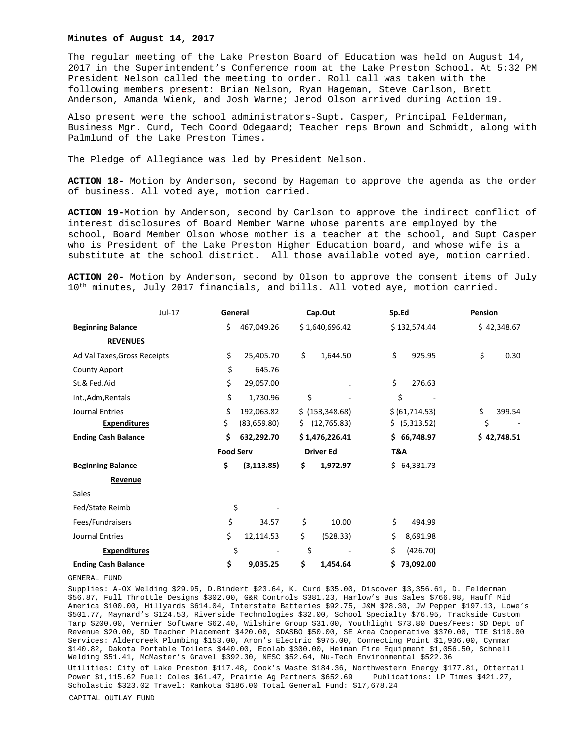## **Minutes of August 14, 2017**

The regular meeting of the Lake Preston Board of Education was held on August 14, 2017 in the Superintendent's Conference room at the Lake Preston School. At 5:32 PM President Nelson called the meeting to order. Roll call was taken with the following members present: Brian Nelson, Ryan Hageman, Steve Carlson, Brett Anderson, Amanda Wienk, and Josh Warne; Jerod Olson arrived during Action 19.

Also present were the school administrators-Supt. Casper, Principal Felderman, Business Mgr. Curd, Tech Coord Odegaard; Teacher reps Brown and Schmidt, along with Palmlund of the Lake Preston Times.

The Pledge of Allegiance was led by President Nelson.

**ACTION 18-** Motion by Anderson, second by Hageman to approve the agenda as the order of business. All voted aye, motion carried.

**ACTION 19-**Motion by Anderson, second by Carlson to approve the indirect conflict of interest disclosures of Board Member Warne whose parents are employed by the school, Board Member Olson whose mother is a teacher at the school, and Supt Casper who is President of the Lake Preston Higher Education board, and whose wife is a substitute at the school district. All those available voted aye, motion carried.

**ACTION 20-** Motion by Anderson, second by Olson to approve the consent items of July 10<sup>th</sup> minutes, July 2017 financials, and bills. All voted aye, motion carried.

|                              | Jul-17 | General          |                          | Cap.Out          |                  | Sp.Ed |                 | Pension     |             |
|------------------------------|--------|------------------|--------------------------|------------------|------------------|-------|-----------------|-------------|-------------|
| <b>Beginning Balance</b>     |        | \$<br>467,049.26 |                          | \$1,640,696.42   | \$132,574.44     |       |                 | \$42,348.67 |             |
| <b>REVENUES</b>              |        |                  |                          |                  |                  |       |                 |             |             |
| Ad Val Taxes, Gross Receipts |        | \$               | 25,405.70                | \$               | 1,644.50         | \$    | 925.95          | \$          | 0.30        |
| <b>County Apport</b>         |        | \$               | 645.76                   |                  |                  |       |                 |             |             |
| St.& Fed.Aid                 |        | \$               | 29,057.00                |                  |                  | \$    | 276.63          |             |             |
| Int., Adm, Rentals           |        | \$               | 1,730.96                 | \$               |                  | \$    |                 |             |             |
| <b>Journal Entries</b>       |        | \$               | 192,063.82               |                  | \$ (153, 348.68) |       | \$ (61, 714.53) | \$          | 399.54      |
| <b>Expenditures</b>          |        | \$.              | (83,659.80)              | S.               | (12,765.83)      |       | \$ (5,313.52)   | \$          |             |
| <b>Ending Cash Balance</b>   |        | \$               | 632,292.70               |                  | \$1,476,226.41   |       | \$66,748.97     |             | \$42,748.51 |
|                              |        | <b>Food Serv</b> |                          | <b>Driver Ed</b> |                  | T&A   |                 |             |             |
| <b>Beginning Balance</b>     |        | \$               | (3, 113.85)              | \$               | 1,972.97         |       | \$64,331.73     |             |             |
| Revenue                      |        |                  |                          |                  |                  |       |                 |             |             |
| Sales                        |        |                  |                          |                  |                  |       |                 |             |             |
| Fed/State Reimb              |        | \$               |                          |                  |                  |       |                 |             |             |
| Fees/Fundraisers             |        | \$               | 34.57                    | \$               | 10.00            | \$    | 494.99          |             |             |
| Journal Entries              |        | \$               | 12,114.53                | \$               | (528.33)         | Ś.    | 8,691.98        |             |             |
| <b>Expenditures</b>          |        | \$               | $\overline{\phantom{a}}$ | \$               |                  | \$    | (426.70)        |             |             |
| <b>Ending Cash Balance</b>   |        | \$               | 9,035.25                 | \$               | 1,454.64         | \$.   | 73,092.00       |             |             |

GENERAL FUND

Supplies: A-OX Welding \$29.95, D.Bindert \$23.64, K. Curd \$35.00, Discover \$3,356.61, D. Felderman \$56.87, Full Throttle Designs \$302.00, G&R Controls \$381.23, Harlow's Bus Sales \$766.98, Hauff Mid America \$100.00, Hillyards \$614.04, Interstate Batteries \$92.75, J&M \$28.30, JW Pepper \$197.13, Lowe's \$501.77, Maynard's \$124.53, Riverside Technologies \$32.00, School Specialty \$76.95, Trackside Custom Tarp \$200.00, Vernier Software \$62.40, Wilshire Group \$31.00, Youthlight \$73.80 Dues/Fees: SD Dept of Revenue \$20.00, SD Teacher Placement \$420.00, SDASBO \$50.00, SE Area Cooperative \$370.00, TIE \$110.00 Services: Aldercreek Plumbing \$153.00, Aron's Electric \$975.00, Connecting Point \$1,936.00, Cynmar \$140.82, Dakota Portable Toilets \$440.00, Ecolab \$300.00, Heiman Fire Equipment \$1,056.50, Schnell Welding \$51.41, McMaster's Gravel \$392.30, NESC \$52.64, Nu-Tech Environmental \$522.36

Utilities: City of Lake Preston \$117.48, Cook's Waste \$184.36, Northwestern Energy \$177.81, Ottertail Power \$1,115.62 Fuel: Coles \$61.47, Prairie Ag Partners \$652.69 Publications: LP Times \$421.27, Scholastic \$323.02 Travel: Ramkota \$186.00 Total General Fund: \$17,678.24 CAPITAL OUTLAY FUND